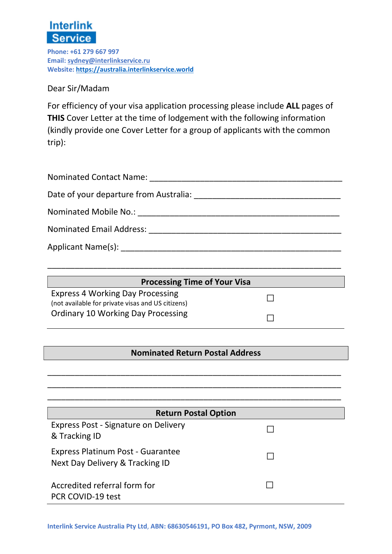

Phone: +61 279 667 997 Email: sydney@interlinkservice.ru Website: https://australia.interlinkservice.world

Dear Sir/Madam

For efficiency of your visa application processing please include ALL pages of THIS Cover Letter at the time of lodgement with the following information (kindly provide one Cover Letter for a group of applicants with the common trip):

| Nominated Email Address: Nominated Email Address:                                                                                                                                                                              |
|--------------------------------------------------------------------------------------------------------------------------------------------------------------------------------------------------------------------------------|
| Applicant Name(s): Name (s) and the set of the set of the set of the set of the set of the set of the set of the set of the set of the set of the set of the set of the set of the set of the set of the set of the set of the |

| <b>Processing Time of Your Visa</b>                                                          |  |
|----------------------------------------------------------------------------------------------|--|
| <b>Express 4 Working Day Processing</b><br>(not available for private visas and US citizens) |  |
| <b>Ordinary 10 Working Day Processing</b>                                                    |  |

\_\_\_\_\_\_\_\_\_\_\_\_\_\_\_\_\_\_\_\_\_\_\_\_\_\_\_\_\_\_\_\_\_\_\_\_\_\_\_\_\_\_\_\_\_\_\_\_\_\_\_\_\_\_\_\_\_\_\_\_\_\_\_\_

## Nominated Return Postal Address

\_\_\_\_\_\_\_\_\_\_\_\_\_\_\_\_\_\_\_\_\_\_\_\_\_\_\_\_\_\_\_\_\_\_\_\_\_\_\_\_\_\_\_\_\_\_\_\_\_\_\_\_\_\_\_\_\_\_\_\_\_\_\_\_ \_\_\_\_\_\_\_\_\_\_\_\_\_\_\_\_\_\_\_\_\_\_\_\_\_\_\_\_\_\_\_\_\_\_\_\_\_\_\_\_\_\_\_\_\_\_\_\_\_\_\_\_\_\_\_\_\_\_\_\_\_\_\_\_

| <b>Return Postal Option</b>                                          |  |  |  |
|----------------------------------------------------------------------|--|--|--|
| <b>Express Post - Signature on Delivery</b><br>& Tracking ID         |  |  |  |
| Express Platinum Post - Guarantee<br>Next Day Delivery & Tracking ID |  |  |  |
| Accredited referral form for<br>PCR COVID-19 test                    |  |  |  |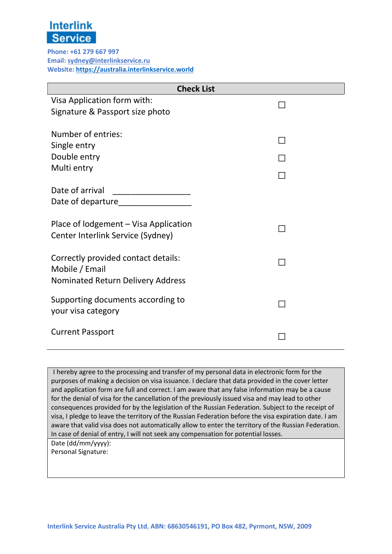

Phone: +61 279 667 997 Email: sydney@interlinkservice.ru Website: https://australia.interlinkservice.world

| <b>Check List</b>                            |              |  |
|----------------------------------------------|--------------|--|
| Visa Application form with:                  | $\mathbf{L}$ |  |
| Signature & Passport size photo              |              |  |
|                                              |              |  |
| Number of entries:                           |              |  |
| Single entry                                 |              |  |
| Double entry                                 |              |  |
| Multi entry                                  |              |  |
| Date of arrival                              |              |  |
| Date of departure <b>Date of August</b> 2014 |              |  |
|                                              |              |  |
| Place of lodgement – Visa Application        |              |  |
| Center Interlink Service (Sydney)            |              |  |
|                                              |              |  |
| Correctly provided contact details:          |              |  |
| Mobile / Email                               |              |  |
| <b>Nominated Return Delivery Address</b>     |              |  |
| Supporting documents according to            |              |  |
| your visa category                           |              |  |
|                                              |              |  |
| <b>Current Passport</b>                      |              |  |
|                                              |              |  |

I hereby agree to the processing and transfer of my personal data in electronic form for the purposes of making a decision on visa issuance. I declare that data provided in the cover letter and application form are full and correct. I am aware that any false information may be a cause for the denial of visa for the cancellation of the previously issued visa and may lead to other consequences provided for by the legislation of the Russian Federation. Subject to the receipt of visa, I pledge to leave the territory of the Russian Federation before the visa expiration date. I am aware that valid visa does not automatically allow to enter the territory of the Russian Federation. In case of denial of entry, I will not seek any compensation for potential losses.

Date (dd/mm/yyyy): Personal Signature: